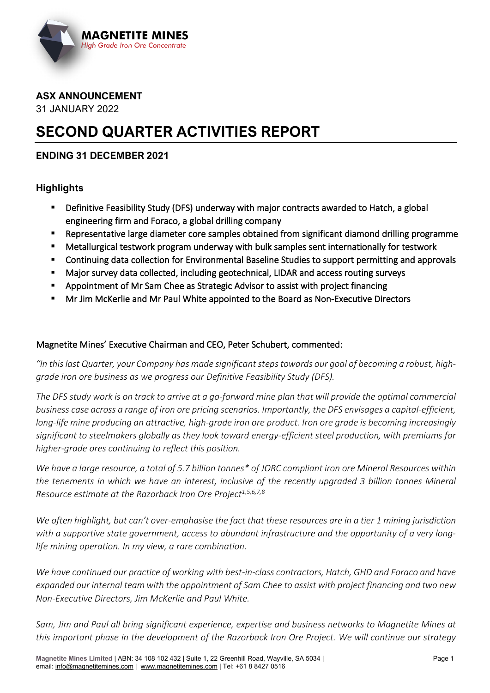

#### **ASX ANNOUNCEMENT** 31 JANUARY 2022

# **SECOND QUARTER ACTIVITIES REPORT**

### **ENDING 31 DECEMBER 2021**

### **Highlights**

- Definitive Feasibility Study (DFS) underway with major contracts awarded to Hatch, a global engineering firm and Foraco, a global drilling company
- Representative large diameter core samples obtained from significant diamond drilling programme
- Metallurgical testwork program underway with bulk samples sent internationally for testwork
- **E** Continuing data collection for Environmental Baseline Studies to support permitting and approvals
- Major survey data collected, including geotechnical, LIDAR and access routing surveys
- Appointment of Mr Sam Chee as Strategic Advisor to assist with project financing
- Mr Jim McKerlie and Mr Paul White appointed to the Board as Non-Executive Directors

#### Magnetite Mines' Executive Chairman and CEO, Peter Schubert, commented:

*"In this last Quarter, your Company has made significant steps towards our goal of becoming a robust, highgrade iron ore business as we progress our Definitive Feasibility Study (DFS).* 

*The DFS study work is on track to arrive at a go-forward mine plan that will provide the optimal commercial business case across a range of iron ore pricing scenarios. Importantly, the DFS envisages a capital-efficient, long-life mine producing an attractive, high-grade iron ore product. Iron ore grade is becoming increasingly significant to steelmakers globally as they look toward energy-efficient steel production, with premiums for higher-grade ores continuing to reflect this position.*

*We have a large resource, a total of 5.7 billion tonnes\* of JORC compliant iron ore Mineral Resources within the tenements in which we have an interest, inclusive of the recently upgraded 3 billion tonnes Mineral Resource estimate at the Razorback Iron Ore Project1,5,6,7,8*

*We often highlight, but can't over-emphasise the fact that these resources are in a tier 1 mining jurisdiction with a supportive state government, access to abundant infrastructure and the opportunity of a very longlife mining operation. In my view, a rare combination.*

*We have continued our practice of working with best-in-class contractors, Hatch, GHD and Foraco and have expanded our internal team with the appointment of Sam Chee to assist with project financing and two new Non-Executive Directors, Jim McKerlie and Paul White.*

*Sam, Jim and Paul all bring significant experience, expertise and business networks to Magnetite Mines at this important phase in the development of the Razorback Iron Ore Project. We will continue our strategy*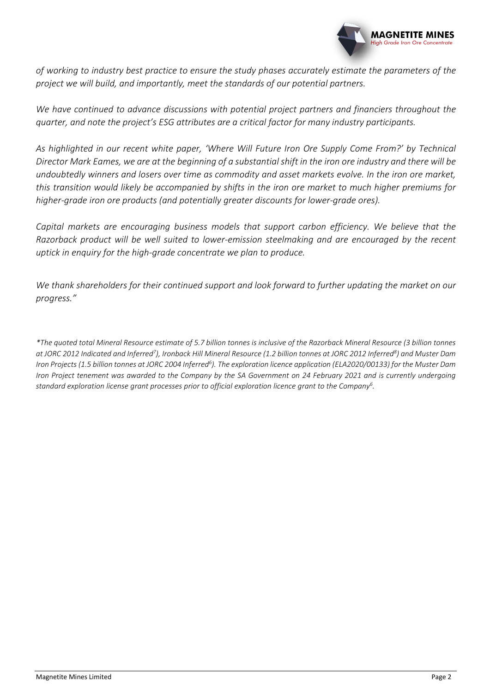

*of working to industry best practice to ensure the study phases accurately estimate the parameters of the project we will build, and importantly, meet the standards of our potential partners.*

*We have continued to advance discussions with potential project partners and financiers throughout the quarter, and note the project's ESG attributes are a critical factor for many industry participants.*

*As highlighted in our recent white paper, 'Where Will Future Iron Ore Supply Come From?' by Technical Director Mark Eames, we are at the beginning of a substantial shift in the iron ore industry and there will be undoubtedly winners and losers over time as commodity and asset markets evolve. In the iron ore market, this transition would likely be accompanied by shifts in the iron ore market to much higher premiums for higher-grade iron ore products (and potentially greater discounts for lower-grade ores).*

*Capital markets are encouraging business models that support carbon efficiency. We believe that the Razorback product will be well suited to lower-emission steelmaking and are encouraged by the recent uptick in enquiry for the high-grade concentrate we plan to produce.* 

*We thank shareholders for their continued support and look forward to further updating the market on our progress."*

*\*The quoted total Mineral Resource estimate of 5.7 billion tonnes is inclusive of the Razorback Mineral Resource (3 billion tonnes at JORC 2012 Indicated and Inferred7 ), Ironback Hill Mineral Resource (1.2 billion tonnes at JORC 2012 Inferred8 ) and Muster Dam*  Iron Projects (1.5 billion tonnes at JORC 2004 Inferred<sup>6</sup>). The exploration licence application (ELA2020/00133) for the Muster Dam *Iron Project tenement was awarded to the Company by the SA Government on 24 February 2021 and is currently undergoing standard exploration license grant processes prior to official exploration licence grant to the Company6 .*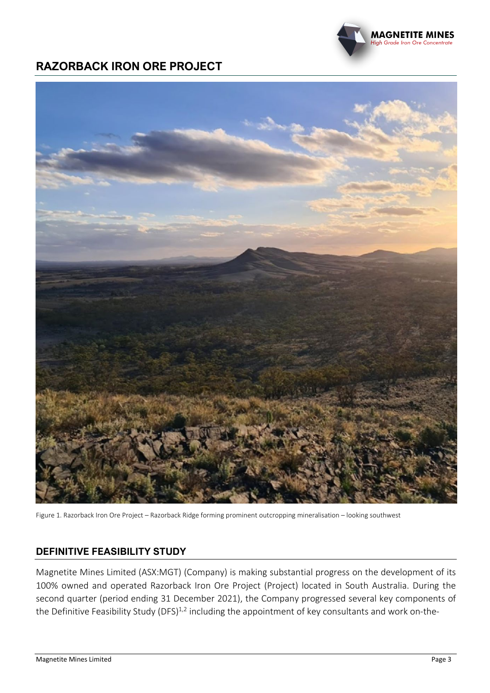## **RAZORBACK IRON ORE PROJECT**



Figure 1. Razorback Iron Ore Project – Razorback Ridge forming prominent outcropping mineralisation – looking southwest

### **DEFINITIVE FEASIBILITY STUDY**

Magnetite Mines Limited (ASX:MGT) (Company) is making substantial progress on the development of its 100% owned and operated Razorback Iron Ore Project (Project) located in South Australia. During the second quarter (period ending 31 December 2021), the Company progressed several key components of the Definitive Feasibility Study (DFS) $^{1,2}$  including the appointment of key consultants and work on-the-

**MAGNETITE MINES** Grade Iron Ore Concentrate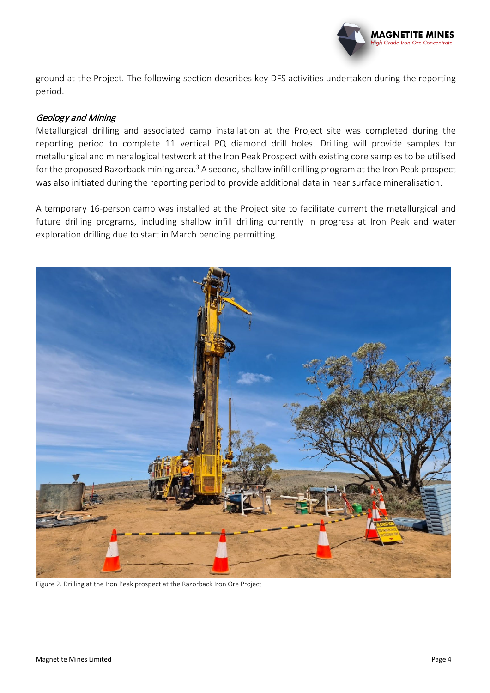

ground at the Project. The following section describes key DFS activities undertaken during the reporting period.

#### Geology and Mining

Metallurgical drilling and associated camp installation at the Project site was completed during the reporting period to complete 11 vertical PQ diamond drill holes. Drilling will provide samples for metallurgical and mineralogical testwork at the Iron Peak Prospect with existing core samples to be utilised for the proposed Razorback mining area.<sup>3</sup> A second, shallow infill drilling program at the Iron Peak prospect was also initiated during the reporting period to provide additional data in near surface mineralisation.

A temporary 16-person camp was installed at the Project site to facilitate current the metallurgical and future drilling programs, including shallow infill drilling currently in progress at Iron Peak and water exploration drilling due to start in March pending permitting.



Figure 2. Drilling at the Iron Peak prospect at the Razorback Iron Ore Project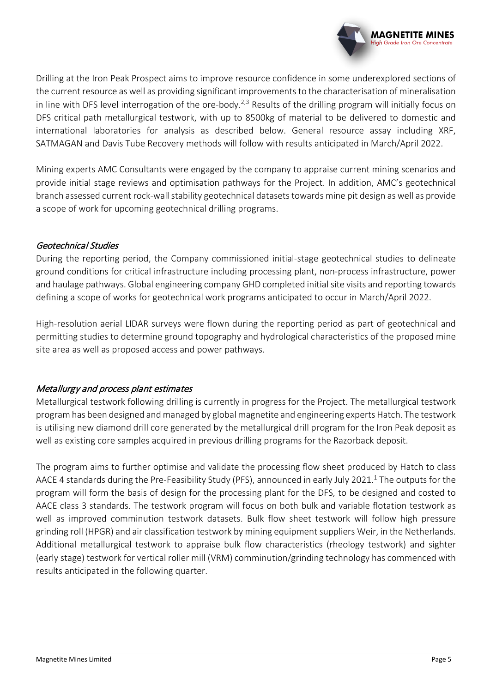

Drilling at the Iron Peak Prospect aims to improve resource confidence in some underexplored sections of the current resource as well as providing significant improvements to the characterisation of mineralisation in line with DFS level interrogation of the ore-body.<sup>2,3</sup> Results of the drilling program will initially focus on DFS critical path metallurgical testwork, with up to 8500kg of material to be delivered to domestic and international laboratories for analysis as described below. General resource assay including XRF, SATMAGAN and Davis Tube Recovery methods will follow with results anticipated in March/April 2022.

Mining experts AMC Consultants were engaged by the company to appraise current mining scenarios and provide initial stage reviews and optimisation pathways for the Project. In addition, AMC's geotechnical branch assessed current rock-wall stability geotechnical datasets towards mine pit design as well as provide a scope of work for upcoming geotechnical drilling programs.

#### Geotechnical Studies

During the reporting period, the Company commissioned initial-stage geotechnical studies to delineate ground conditions for critical infrastructure including processing plant, non-process infrastructure, power and haulage pathways. Global engineering company GHD completed initial site visits and reporting towards defining a scope of works for geotechnical work programs anticipated to occur in March/April 2022.

High-resolution aerial LIDAR surveys were flown during the reporting period as part of geotechnical and permitting studies to determine ground topography and hydrological characteristics of the proposed mine site area as well as proposed access and power pathways.

### Metallurgy and process plant estimates

Metallurgical testwork following drilling is currently in progress for the Project. The metallurgical testwork program has been designed and managed by global magnetite and engineering experts Hatch. The testwork is utilising new diamond drill core generated by the metallurgical drill program for the Iron Peak deposit as well as existing core samples acquired in previous drilling programs for the Razorback deposit.

The program aims to further optimise and validate the processing flow sheet produced by Hatch to class AACE 4 standards during the Pre-Feasibility Study (PFS), announced in early July 2021.<sup>1</sup> The outputs for the program will form the basis of design for the processing plant for the DFS, to be designed and costed to AACE class 3 standards. The testwork program will focus on both bulk and variable flotation testwork as well as improved comminution testwork datasets. Bulk flow sheet testwork will follow high pressure grinding roll (HPGR) and air classification testwork by mining equipment suppliers Weir, in the Netherlands. Additional metallurgical testwork to appraise bulk flow characteristics (rheology testwork) and sighter (early stage) testwork for vertical roller mill (VRM) comminution/grinding technology has commenced with results anticipated in the following quarter.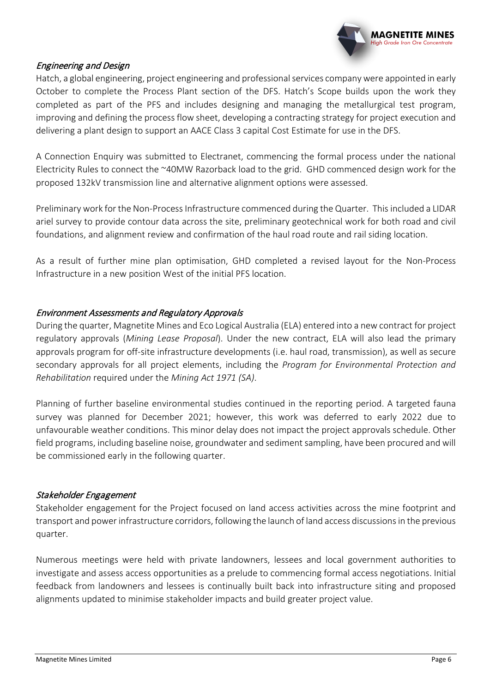

#### Engineering and Design

Hatch, a global engineering, project engineering and professional services company were appointed in early October to complete the Process Plant section of the DFS. Hatch's Scope builds upon the work they completed as part of the PFS and includes designing and managing the metallurgical test program, improving and defining the process flow sheet, developing a contracting strategy for project execution and delivering a plant design to support an AACE Class 3 capital Cost Estimate for use in the DFS.

A Connection Enquiry was submitted to Electranet, commencing the formal process under the national Electricity Rules to connect the ~40MW Razorback load to the grid. GHD commenced design work for the proposed 132kV transmission line and alternative alignment options were assessed.

Preliminary work for the Non-Process Infrastructure commenced during the Quarter. This included a LIDAR ariel survey to provide contour data across the site, preliminary geotechnical work for both road and civil foundations, and alignment review and confirmation of the haul road route and rail siding location.

As a result of further mine plan optimisation, GHD completed a revised layout for the Non-Process Infrastructure in a new position West of the initial PFS location.

#### Environment Assessments and Regulatory Approvals

During the quarter, Magnetite Mines and Eco Logical Australia (ELA) entered into a new contract for project regulatory approvals (*Mining Lease Proposal*). Under the new contract, ELA will also lead the primary approvals program for off-site infrastructure developments (i.e. haul road, transmission), as well as secure secondary approvals for all project elements, including the *Program for Environmental Protection and Rehabilitation* required under the *Mining Act 1971 (SA)*.

Planning of further baseline environmental studies continued in the reporting period. A targeted fauna survey was planned for December 2021; however, this work was deferred to early 2022 due to unfavourable weather conditions. This minor delay does not impact the project approvals schedule. Other field programs, including baseline noise, groundwater and sediment sampling, have been procured and will be commissioned early in the following quarter.

#### Stakeholder Engagement

Stakeholder engagement for the Project focused on land access activities across the mine footprint and transport and power infrastructure corridors, following the launch of land access discussions in the previous quarter.

Numerous meetings were held with private landowners, lessees and local government authorities to investigate and assess access opportunities as a prelude to commencing formal access negotiations. Initial feedback from landowners and lessees is continually built back into infrastructure siting and proposed alignments updated to minimise stakeholder impacts and build greater project value.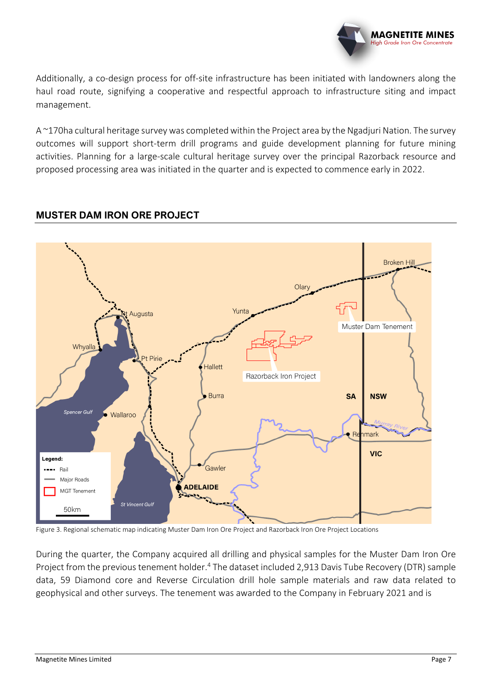

Additionally, a co-design process for off-site infrastructure has been initiated with landowners along the haul road route, signifying a cooperative and respectful approach to infrastructure siting and impact management.

A ~170ha cultural heritage survey was completed within the Project area by the Ngadjuri Nation. The survey outcomes will support short-term drill programs and guide development planning for future mining activities. Planning for a large-scale cultural heritage survey over the principal Razorback resource and proposed processing area was initiated in the quarter and is expected to commence early in 2022.

### **MUSTER DAM IRON ORE PROJECT**



Figure 3. Regional schematic map indicating Muster Dam Iron Ore Project and Razorback Iron Ore Project Locations

During the quarter, the Company acquired all drilling and physical samples for the Muster Dam Iron Ore Project from the previous tenement holder.<sup>4</sup> The dataset included 2,913 Davis Tube Recovery (DTR) sample data, 59 Diamond core and Reverse Circulation drill hole sample materials and raw data related to geophysical and other surveys. The tenement was awarded to the Company in February 2021 and is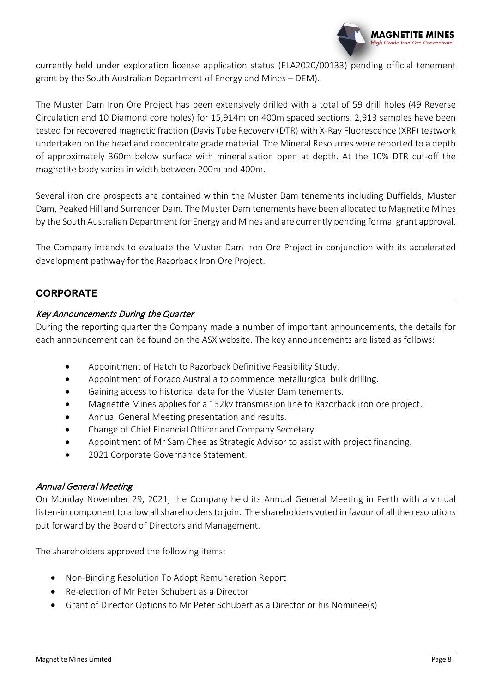

currently held under exploration license application status (ELA2020/00133) pending official tenement grant by the South Australian Department of Energy and Mines – DEM).

The Muster Dam Iron Ore Project has been extensively drilled with a total of 59 drill holes (49 Reverse Circulation and 10 Diamond core holes) for 15,914m on 400m spaced sections. 2,913 samples have been tested for recovered magnetic fraction (Davis Tube Recovery (DTR) with X-Ray Fluorescence (XRF) testwork undertaken on the head and concentrate grade material. The Mineral Resources were reported to a depth of approximately 360m below surface with mineralisation open at depth. At the 10% DTR cut-off the magnetite body varies in width between 200m and 400m.

Several iron ore prospects are contained within the Muster Dam tenements including Duffields, Muster Dam, Peaked Hill and Surrender Dam. The Muster Dam tenements have been allocated to Magnetite Mines by the South Australian Department for Energy and Mines and are currently pending formal grant approval.

The Company intends to evaluate the Muster Dam Iron Ore Project in conjunction with its accelerated development pathway for the Razorback Iron Ore Project.

### **CORPORATE**

#### Key Announcements During the Quarter

During the reporting quarter the Company made a number of important announcements, the details for each announcement can be found on the ASX website. The key announcements are listed as follows:

- Appointment of Hatch to Razorback Definitive Feasibility Study.
- Appointment of Foraco Australia to commence metallurgical bulk drilling.
- Gaining access to historical data for the Muster Dam tenements.
- Magnetite Mines applies for a 132kv transmission line to Razorback iron ore project.
- Annual General Meeting presentation and results.
- Change of Chief Financial Officer and Company Secretary.
- Appointment of Mr Sam Chee as Strategic Advisor to assist with project financing.
- 2021 Corporate Governance Statement.

#### Annual General Meeting

On Monday November 29, 2021, the Company held its Annual General Meeting in Perth with a virtual listen-in component to allow all shareholders to join. The shareholders voted in favour of all the resolutions put forward by the Board of Directors and Management.

The shareholders approved the following items:

- Non-Binding Resolution To Adopt Remuneration Report
- Re-election of Mr Peter Schubert as a Director
- Grant of Director Options to Mr Peter Schubert as a Director or his Nominee(s)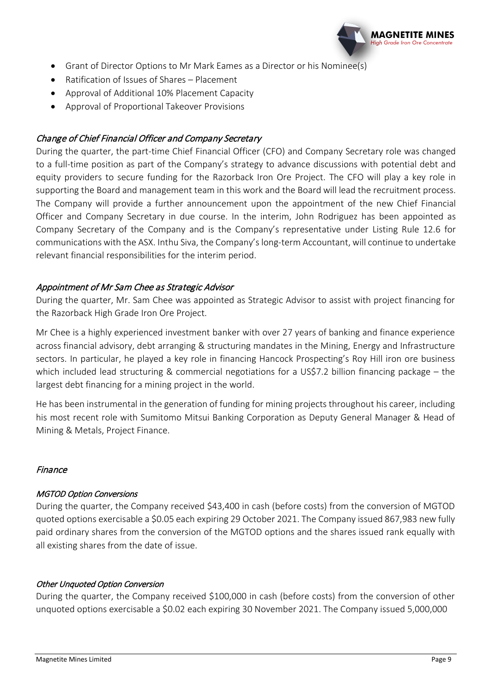

- Grant of Director Options to Mr Mark Eames as a Director or his Nominee(s)
- Ratification of Issues of Shares Placement
- Approval of Additional 10% Placement Capacity
- Approval of Proportional Takeover Provisions

#### Change of Chief Financial Officer and Company Secretary

During the quarter, the part-time Chief Financial Officer (CFO) and Company Secretary role was changed to a full-time position as part of the Company's strategy to advance discussions with potential debt and equity providers to secure funding for the Razorback Iron Ore Project. The CFO will play a key role in supporting the Board and management team in this work and the Board will lead the recruitment process. The Company will provide a further announcement upon the appointment of the new Chief Financial Officer and Company Secretary in due course. In the interim, John Rodriguez has been appointed as Company Secretary of the Company and is the Company's representative under Listing Rule 12.6 for communications with the ASX. Inthu Siva, the Company's long-term Accountant, will continue to undertake relevant financial responsibilities for the interim period.

#### Appointment of Mr Sam Chee as Strategic Advisor

During the quarter, Mr. Sam Chee was appointed as Strategic Advisor to assist with project financing for the Razorback High Grade Iron Ore Project.

Mr Chee is a highly experienced investment banker with over 27 years of banking and finance experience across financial advisory, debt arranging & structuring mandates in the Mining, Energy and Infrastructure sectors. In particular, he played a key role in financing Hancock Prospecting's Roy Hill iron ore business which included lead structuring & commercial negotiations for a US\$7.2 billion financing package – the largest debt financing for a mining project in the world.

He has been instrumental in the generation of funding for mining projects throughout his career, including his most recent role with Sumitomo Mitsui Banking Corporation as Deputy General Manager & Head of Mining & Metals, Project Finance.

#### Finance

#### MGTOD Option Conversions

During the quarter, the Company received \$43,400 in cash (before costs) from the conversion of MGTOD quoted options exercisable a \$0.05 each expiring 29 October 2021. The Company issued 867,983 new fully paid ordinary shares from the conversion of the MGTOD options and the shares issued rank equally with all existing shares from the date of issue.

#### Other Unquoted Option Conversion

During the quarter, the Company received \$100,000 in cash (before costs) from the conversion of other unquoted options exercisable a \$0.02 each expiring 30 November 2021. The Company issued 5,000,000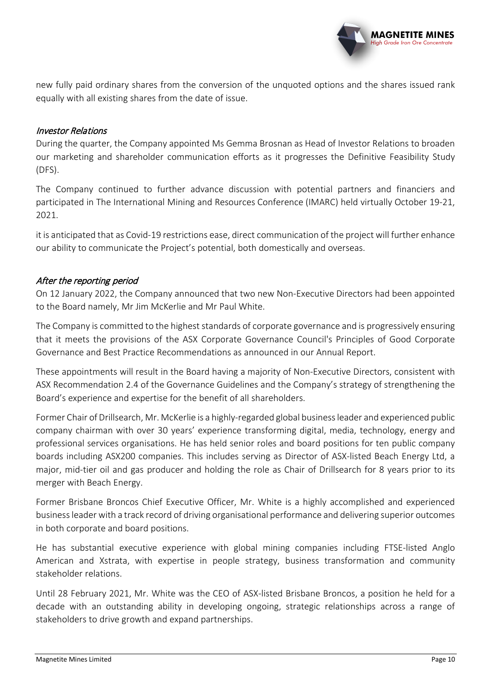

new fully paid ordinary shares from the conversion of the unquoted options and the shares issued rank equally with all existing shares from the date of issue.

#### Investor Relations

During the quarter, the Company appointed Ms Gemma Brosnan as Head of Investor Relations to broaden our marketing and shareholder communication efforts as it progresses the Definitive Feasibility Study (DFS).

The Company continued to further advance discussion with potential partners and financiers and participated in The International Mining and Resources Conference (IMARC) held virtually October 19-21, 2021.

it is anticipated that as Covid-19 restrictions ease, direct communication of the project will further enhance our ability to communicate the Project's potential, both domestically and overseas.

#### After the reporting period

On 12 January 2022, the Company announced that two new Non-Executive Directors had been appointed to the Board namely, Mr Jim McKerlie and Mr Paul White.

The Company is committed to the highest standards of corporate governance and is progressively ensuring that it meets the provisions of the ASX Corporate Governance Council's Principles of Good Corporate Governance and Best Practice Recommendations as announced in our Annual Report.

These appointments will result in the Board having a majority of Non-Executive Directors, consistent with ASX Recommendation 2.4 of the Governance Guidelines and the Company's strategy of strengthening the Board's experience and expertise for the benefit of all shareholders.

Former Chair of Drillsearch, Mr. McKerlie is a highly-regarded global business leader and experienced public company chairman with over 30 years' experience transforming digital, media, technology, energy and professional services organisations. He has held senior roles and board positions for ten public company boards including ASX200 companies. This includes serving as Director of ASX-listed Beach Energy Ltd, a major, mid-tier oil and gas producer and holding the role as Chair of Drillsearch for 8 years prior to its merger with Beach Energy.

Former Brisbane Broncos Chief Executive Officer, Mr. White is a highly accomplished and experienced business leader with a track record of driving organisational performance and delivering superior outcomes in both corporate and board positions.

He has substantial executive experience with global mining companies including FTSE-listed Anglo American and Xstrata, with expertise in people strategy, business transformation and community stakeholder relations.

Until 28 February 2021, Mr. White was the CEO of ASX-listed Brisbane Broncos, a position he held for a decade with an outstanding ability in developing ongoing, strategic relationships across a range of stakeholders to drive growth and expand partnerships.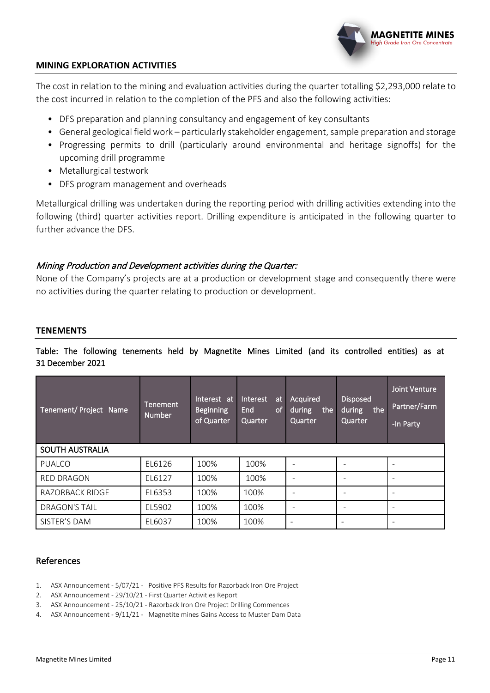#### **MINING EXPLORATION ACTIVITIES**

The cost in relation to the mining and evaluation activities during the quarter totalling \$2,293,000 relate to the cost incurred in relation to the completion of the PFS and also the following activities:

- DFS preparation and planning consultancy and engagement of key consultants
- General geological field work particularly stakeholder engagement, sample preparation and storage
- Progressing permits to drill (particularly around environmental and heritage signoffs) for the upcoming drill programme
- Metallurgical testwork
- DFS program management and overheads

Metallurgical drilling was undertaken during the reporting period with drilling activities extending into the following (third) quarter activities report. Drilling expenditure is anticipated in the following quarter to further advance the DFS.

#### Mining Production and Development activities during the Quarter:

None of the Company's projects are at a production or development stage and consequently there were no activities during the quarter relating to production or development.

#### **TENEMENTS**

#### Table: The following tenements held by Magnetite Mines Limited (and its controlled entities) as at 31 December 2021

| Tenement/ Project Name | <b>Tenement</b><br><b>Number</b> | Interest at<br><b>Beginning</b><br>of Quarter | <b>Interest</b><br>at<br>End<br>of<br>Quarter | Acquired<br>during<br>the<br>Quarter | <b>Disposed</b><br>during<br>the<br>Quarter | <b>Joint Venture</b><br>Partner/Farm<br>-In Party |
|------------------------|----------------------------------|-----------------------------------------------|-----------------------------------------------|--------------------------------------|---------------------------------------------|---------------------------------------------------|
| <b>SOUTH AUSTRALIA</b> |                                  |                                               |                                               |                                      |                                             |                                                   |
| PUALCO                 | EL6126                           | 100%                                          | 100%                                          |                                      | $\overline{\phantom{0}}$                    |                                                   |
| <b>RED DRAGON</b>      | EL6127                           | 100%                                          | 100%                                          |                                      |                                             |                                                   |
| <b>RAZORBACK RIDGE</b> | EL6353                           | 100%                                          | 100%                                          |                                      | $\overline{\phantom{a}}$                    |                                                   |
| <b>DRAGON'S TAIL</b>   | EL5902                           | 100%                                          | 100%                                          |                                      | $\overline{\phantom{a}}$                    | ۰                                                 |
| SISTER'S DAM           | EL6037                           | 100%                                          | 100%                                          |                                      | -                                           | $\overline{\phantom{0}}$                          |

#### References

- 1. ASX Announcement 5/07/21 Positive PFS Results for Razorback Iron Ore Project
- 2. ASX Announcement 29/10/21 First Quarter Activities Report
- 3. ASX Announcement 25/10/21 Razorback Iron Ore Project Drilling Commences
- 4. ASX Announcement 9/11/21 Magnetite mines Gains Access to Muster Dam Data

**MAGNETITE MINES** liah Grade Iron Ore Concentrate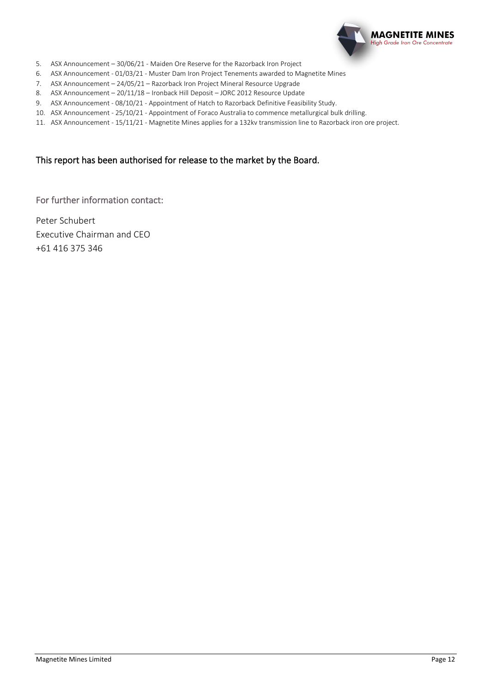

- 5. ASX Announcement 30/06/21 Maiden Ore Reserve for the Razorback Iron Project
- 6. ASX Announcement 01/03/21 Muster Dam Iron Project Tenements awarded to Magnetite Mines
- 7. ASX Announcement 24/05/21 Razorback Iron Project Mineral Resource Upgrade
- 8. ASX Announcement 20/11/18 Ironback Hill Deposit JORC 2012 Resource Update
- 9. ASX Announcement 08/10/21 Appointment of Hatch to Razorback Definitive Feasibility Study.
- 10. ASX Announcement 25/10/21 Appointment of Foraco Australia to commence metallurgical bulk drilling.
- 11. ASX Announcement 15/11/21 Magnetite Mines applies for a 132kv transmission line to Razorback iron ore project.

#### This report has been authorised for release to the market by the Board.

For further information contact:

Peter Schubert Executive Chairman and CEO +61 416 375 346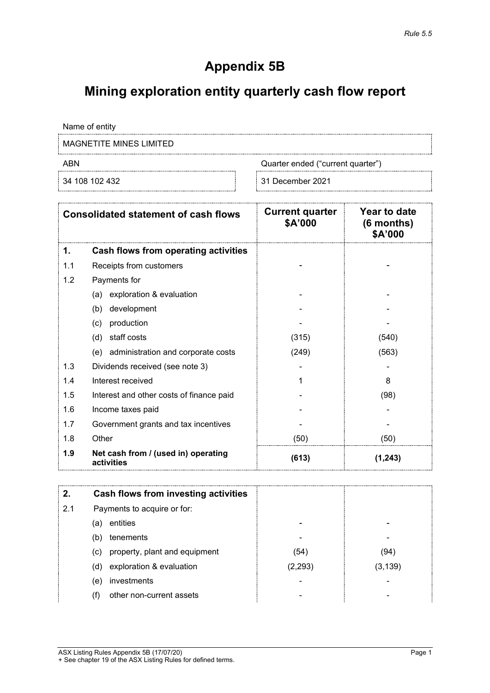## **Appendix 5B**

## **Mining exploration entity quarterly cash flow report**

Name of entity

MAGNETITE MINES LIMITED

ABN Cuarter ended ("current quarter")

34 108 102 432 31 December 2021

|     | <b>Consolidated statement of cash flows</b>       | <b>Current quarter</b><br>\$A'000 | Year to date<br>$(6$ months)<br>\$A'000 |
|-----|---------------------------------------------------|-----------------------------------|-----------------------------------------|
| 1.  | Cash flows from operating activities              |                                   |                                         |
| 1.1 | Receipts from customers                           |                                   |                                         |
| 1.2 | Payments for                                      |                                   |                                         |
|     | exploration & evaluation<br>(a)                   |                                   |                                         |
|     | development<br>(b)                                |                                   |                                         |
|     | production<br>(c)                                 |                                   |                                         |
|     | staff costs<br>(d)                                | (315)                             | (540)                                   |
|     | (e) administration and corporate costs            | (249)                             | (563)                                   |
| 1.3 | Dividends received (see note 3)                   |                                   |                                         |
| 1.4 | Interest received                                 |                                   | 8                                       |
| 1.5 | Interest and other costs of finance paid          |                                   | (98)                                    |
| 1.6 | Income taxes paid                                 |                                   |                                         |
| 1.7 | Government grants and tax incentives              |                                   |                                         |
| 1.8 | Other                                             | (50)                              | (50)                                    |
| 1.9 | Net cash from / (used in) operating<br>activities | (613)                             | (1, 243)                                |

|     | Cash flows from investing activities |         |         |
|-----|--------------------------------------|---------|---------|
| 2.1 | Payments to acquire or for:          |         |         |
|     | entities<br>(a)                      |         |         |
|     | tenements<br>(b)                     | ۰       |         |
|     | property, plant and equipment<br>(C) | (54)    | (94)    |
|     | exploration & evaluation<br>(d)      | (2,293) | (3,139) |
|     | investments<br>(e)                   |         |         |
|     | other non-current assets             |         |         |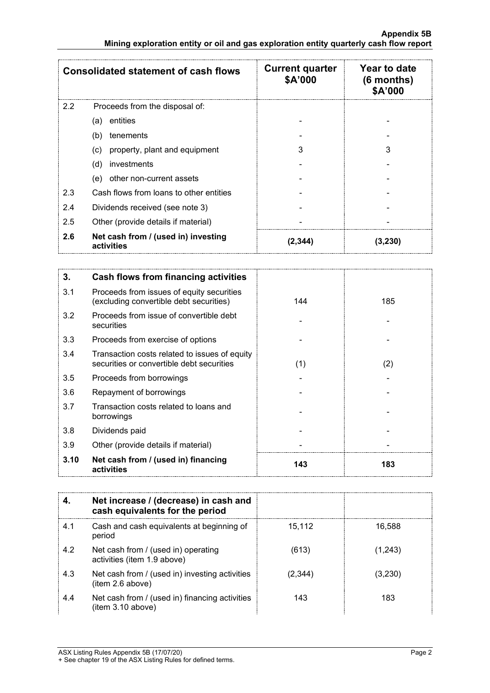|     | <b>Consolidated statement of cash flows</b>       | <b>Current quarter</b><br>\$A'000 | Year to date<br>$(6$ months)<br>\$A'000 |
|-----|---------------------------------------------------|-----------------------------------|-----------------------------------------|
| 2.2 | Proceeds from the disposal of:                    |                                   |                                         |
|     | entities<br>(a)                                   |                                   |                                         |
|     | (b)<br>tenements                                  |                                   |                                         |
|     | property, plant and equipment<br>(c)              | 3                                 |                                         |
|     | investments<br>(d)                                |                                   |                                         |
|     | other non-current assets<br>(e)                   |                                   |                                         |
| 2.3 | Cash flows from loans to other entities           |                                   |                                         |
| 2.4 | Dividends received (see note 3)                   |                                   |                                         |
| 2.5 | Other (provide details if material)               |                                   |                                         |
| 2.6 | Net cash from / (used in) investing<br>activities | 2.344                             | (3,230)                                 |

| 3.   | Cash flows from financing activities                                                       |     |     |
|------|--------------------------------------------------------------------------------------------|-----|-----|
| 3.1  | Proceeds from issues of equity securities<br>(excluding convertible debt securities)       | 144 | 185 |
| 3.2  | Proceeds from issue of convertible debt<br>securities                                      |     |     |
| 3.3  | Proceeds from exercise of options                                                          |     |     |
| 3.4  | Transaction costs related to issues of equity<br>securities or convertible debt securities | (1) | (2) |
| 3.5  | Proceeds from borrowings                                                                   |     |     |
| 3.6  | Repayment of borrowings                                                                    |     |     |
| 3.7  | Transaction costs related to loans and<br>borrowings                                       |     |     |
| 3.8  | Dividends paid                                                                             |     |     |
| 3.9  | Other (provide details if material)                                                        |     |     |
| 3.10 | Net cash from / (used in) financing<br>activities                                          | 143 | 183 |

|     | Net increase / (decrease) in cash and<br>cash equivalents for the period |         |         |
|-----|--------------------------------------------------------------------------|---------|---------|
| 4.1 | Cash and cash equivalents at beginning of<br>period                      | 15.112  | 16.588  |
| 4.2 | Net cash from / (used in) operating<br>activities (item 1.9 above)       | (613)   | (1,243) |
| 4.3 | Net cash from / (used in) investing activities<br>(item 2.6 above)       | (2.344) | (3,230) |
| 4.4 | Net cash from / (used in) financing activities<br>(item 3.10 above)      | 143     | 183     |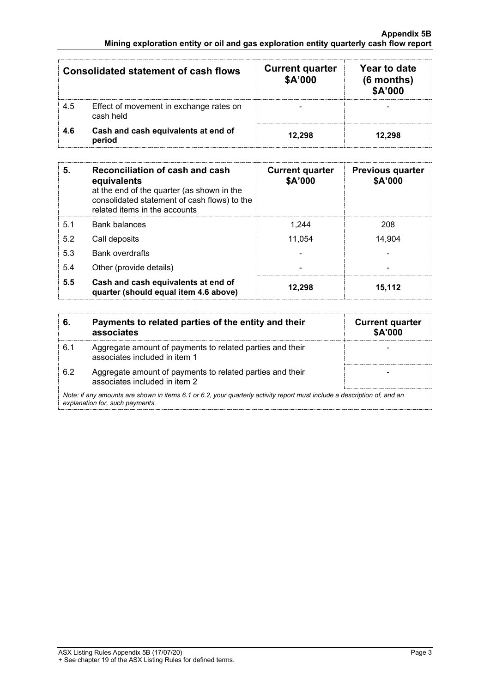|     | <b>Consolidated statement of cash flows</b>          | <b>Current quarter</b><br>\$A'000 | Year to date<br>$(6$ months)<br>\$A'000 |
|-----|------------------------------------------------------|-----------------------------------|-----------------------------------------|
| 4.5 | Effect of movement in exchange rates on<br>cash held |                                   |                                         |
| 4.6 | Cash and cash equivalents at end of<br>period        | 12.298                            | 12.298                                  |

| 5.             | <b>Reconciliation of cash and cash</b><br>equivalents<br>at the end of the quarter (as shown in the<br>consolidated statement of cash flows) to the<br>related items in the accounts | <b>Current quarter</b><br>\$A'000 | <b>Previous quarter</b><br>\$A'000 |
|----------------|--------------------------------------------------------------------------------------------------------------------------------------------------------------------------------------|-----------------------------------|------------------------------------|
| 5 <sub>1</sub> | <b>Bank balances</b>                                                                                                                                                                 | 1.244                             | 208                                |
| 5.2            | Call deposits                                                                                                                                                                        | 11.054                            | 14,904                             |
| 5.3            | <b>Bank overdrafts</b>                                                                                                                                                               |                                   |                                    |
| 5.4            | Other (provide details)                                                                                                                                                              |                                   |                                    |
| 5.5            | Cash and cash equivalents at end of<br>quarter (should equal item 4.6 above)                                                                                                         | 12.298                            | 15,112                             |

| 6.  | Payments to related parties of the entity and their<br>associates                                                                                           | <b>Current quarter</b><br><b>\$A'000</b> |
|-----|-------------------------------------------------------------------------------------------------------------------------------------------------------------|------------------------------------------|
| 6.1 | Aggregate amount of payments to related parties and their<br>associates included in item 1                                                                  |                                          |
| 62  | Aggregate amount of payments to related parties and their<br>associates included in item 2                                                                  |                                          |
|     | Note: if any amounts are shown in items 6.1 or 6.2, your quarterly activity report must include a description of, and an<br>explanation for, such payments. |                                          |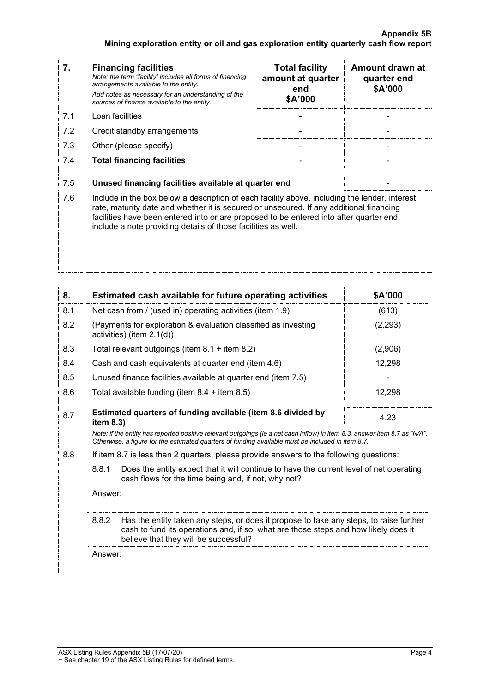#### **Appendix 5B Mining exploration entity or oil and gas exploration entity quarterly cash flow report**

| 7.  | <b>Financing facilities</b><br>Note: the term "facility' includes all forms of financing<br>arrangements available to the entity.<br>Add notes as necessary for an understanding of the<br>sources of finance available to the entity.                                                                                                               | <b>Total facility</b><br>amount at quarter<br>end<br>\$A'000 | Amount drawn at<br>quarter end<br>\$A'000 |
|-----|------------------------------------------------------------------------------------------------------------------------------------------------------------------------------------------------------------------------------------------------------------------------------------------------------------------------------------------------------|--------------------------------------------------------------|-------------------------------------------|
| 7.1 | Loan facilities                                                                                                                                                                                                                                                                                                                                      |                                                              |                                           |
| 7.2 | Credit standby arrangements                                                                                                                                                                                                                                                                                                                          |                                                              |                                           |
| 7.3 | Other (please specify)                                                                                                                                                                                                                                                                                                                               |                                                              |                                           |
| 7.4 | <b>Total financing facilities</b>                                                                                                                                                                                                                                                                                                                    |                                                              |                                           |
|     |                                                                                                                                                                                                                                                                                                                                                      |                                                              |                                           |
| 7.5 | Unused financing facilities available at quarter end                                                                                                                                                                                                                                                                                                 |                                                              |                                           |
| 7.6 | Include in the box below a description of each facility above, including the lender, interest<br>rate, maturity date and whether it is secured or unsecured. If any additional financing<br>facilities have been entered into or are proposed to be entered into after quarter end,<br>include a note providing details of those facilities as well. |                                                              |                                           |
|     |                                                                                                                                                                                                                                                                                                                                                      |                                                              |                                           |

| 8.  | Estimated cash available for future operating activities                                                                                                                                                                        | <b>SA'000</b> |
|-----|---------------------------------------------------------------------------------------------------------------------------------------------------------------------------------------------------------------------------------|---------------|
| 8.1 | Net cash from / (used in) operating activities (item 1.9)                                                                                                                                                                       | (613)         |
| 8.2 | (Payments for exploration & evaluation classified as investing<br>activities) (item $2.1(d)$ )                                                                                                                                  | (2,293)       |
| 8.3 | Total relevant outgoings (item $8.1 +$ item $8.2$ )                                                                                                                                                                             | (2,906)       |
| 8.4 | Cash and cash equivalents at quarter end (item 4.6)                                                                                                                                                                             | 12,298        |
| 8.5 | Unused finance facilities available at quarter end (item 7.5)                                                                                                                                                                   |               |
| 8.6 | Total available funding (item $8.4 +$ item $8.5$ )                                                                                                                                                                              | 12.298        |
| 8.7 | Estimated quarters of funding available (item 8.6 divided by<br>item $8.3$ )                                                                                                                                                    | 4.23          |
|     | Note: if the entity has reported positive relevant outgoings (ie a net cash inflow) in item 8.3, answer item 8.7 as "N/A".<br>Otherwise, a figure for the estimated quarters of funding available must be included in item 8.7. |               |

8.8 If item 8.7 is less than 2 quarters, please provide answers to the following questions:

8.8.1 Does the entity expect that it will continue to have the current level of net operating cash flows for the time being and, if not, why not?

Answer:

8.8.2 Has the entity taken any steps, or does it propose to take any steps, to raise further cash to fund its operations and, if so, what are those steps and how likely does it believe that they will be successful?

Answer: